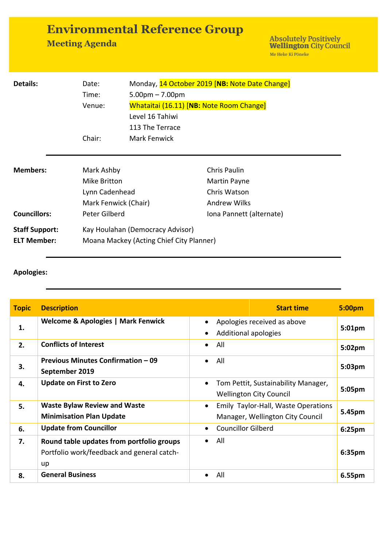## **Environmental Reference Group**

**Meeting Agenda** 

Absolutely Positively<br> **Wellington** City Council Me Heke Ki Pôneke

| <b>Details:</b>                             | Date:<br>Time:<br>Venue:                                             | Monday, 14 October 2019 [NB: Note Date Change]<br>$5.00$ pm $- 7.00$ pm<br>Whataitai (16.11) [NB: Note Room Change]<br>Level 16 Tahiwi |                                                                            |
|---------------------------------------------|----------------------------------------------------------------------|----------------------------------------------------------------------------------------------------------------------------------------|----------------------------------------------------------------------------|
|                                             | Chair:                                                               | 113 The Terrace<br><b>Mark Fenwick</b>                                                                                                 |                                                                            |
| <b>Members:</b>                             | Mark Ashby<br>Mike Britton<br>Lynn Cadenhead<br>Mark Fenwick (Chair) |                                                                                                                                        | <b>Chris Paulin</b><br>Martin Payne<br>Chris Watson<br><b>Andrew Wilks</b> |
| <b>Councillors:</b>                         | Peter Gilberd                                                        |                                                                                                                                        | Iona Pannett (alternate)                                                   |
| <b>Staff Support:</b><br><b>ELT Member:</b> |                                                                      | Kay Houlahan (Democracy Advisor)<br>Moana Mackey (Acting Chief City Planner)                                                           |                                                                            |

## **Apologies:**

| <b>Topic</b> | <b>Description</b>                                                                            | <b>Start time</b>                                                                    | 5:00pm             |
|--------------|-----------------------------------------------------------------------------------------------|--------------------------------------------------------------------------------------|--------------------|
| 1.           | Welcome & Apologies   Mark Fenwick                                                            | Apologies received as above<br>$\bullet$<br>Additional apologies                     | 5:01 <sub>pm</sub> |
| 2.           | <b>Conflicts of Interest</b>                                                                  | All<br>$\bullet$                                                                     | $5:02 \text{pm}$   |
| 3.           | <b>Previous Minutes Confirmation - 09</b><br>September 2019                                   | All<br>$\bullet$                                                                     | 5:03pm             |
| 4.           | <b>Update on First to Zero</b>                                                                | Tom Pettit, Sustainability Manager,<br>$\bullet$<br><b>Wellington City Council</b>   | 5:05 <sub>pm</sub> |
| 5.           | <b>Waste Bylaw Review and Waste</b><br><b>Minimisation Plan Update</b>                        | Emily Taylor-Hall, Waste Operations<br>$\bullet$<br>Manager, Wellington City Council | 5.45pm             |
| 6.           | <b>Update from Councillor</b>                                                                 | <b>Councillor Gilberd</b><br>$\bullet$                                               | 6:25 <sub>pm</sub> |
| 7.           | Round table updates from portfolio groups<br>Portfolio work/feedback and general catch-<br>up | All<br>$\bullet$                                                                     | 6:35pm             |
| 8.           | <b>General Business</b>                                                                       | All                                                                                  | 6.55pm             |